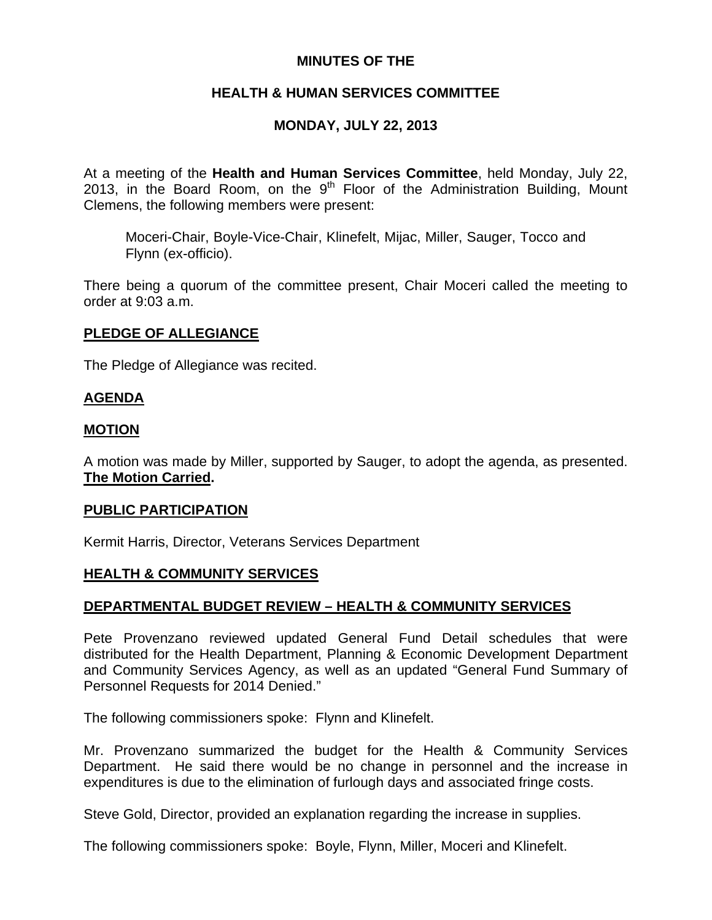## **MINUTES OF THE**

# **HEALTH & HUMAN SERVICES COMMITTEE**

# **MONDAY, JULY 22, 2013**

At a meeting of the **Health and Human Services Committee**, held Monday, July 22, 2013, in the Board Room, on the  $9<sup>th</sup>$  Floor of the Administration Building, Mount Clemens, the following members were present:

Moceri-Chair, Boyle-Vice-Chair, Klinefelt, Mijac, Miller, Sauger, Tocco and Flynn (ex-officio).

There being a quorum of the committee present, Chair Moceri called the meeting to order at 9:03 a.m.

### **PLEDGE OF ALLEGIANCE**

The Pledge of Allegiance was recited.

### **AGENDA**

#### **MOTION**

A motion was made by Miller, supported by Sauger, to adopt the agenda, as presented. **The Motion Carried.** 

#### **PUBLIC PARTICIPATION**

Kermit Harris, Director, Veterans Services Department

# **HEALTH & COMMUNITY SERVICES**

#### **DEPARTMENTAL BUDGET REVIEW – HEALTH & COMMUNITY SERVICES**

Pete Provenzano reviewed updated General Fund Detail schedules that were distributed for the Health Department, Planning & Economic Development Department and Community Services Agency, as well as an updated "General Fund Summary of Personnel Requests for 2014 Denied."

The following commissioners spoke: Flynn and Klinefelt.

Mr. Provenzano summarized the budget for the Health & Community Services Department. He said there would be no change in personnel and the increase in expenditures is due to the elimination of furlough days and associated fringe costs.

Steve Gold, Director, provided an explanation regarding the increase in supplies.

The following commissioners spoke: Boyle, Flynn, Miller, Moceri and Klinefelt.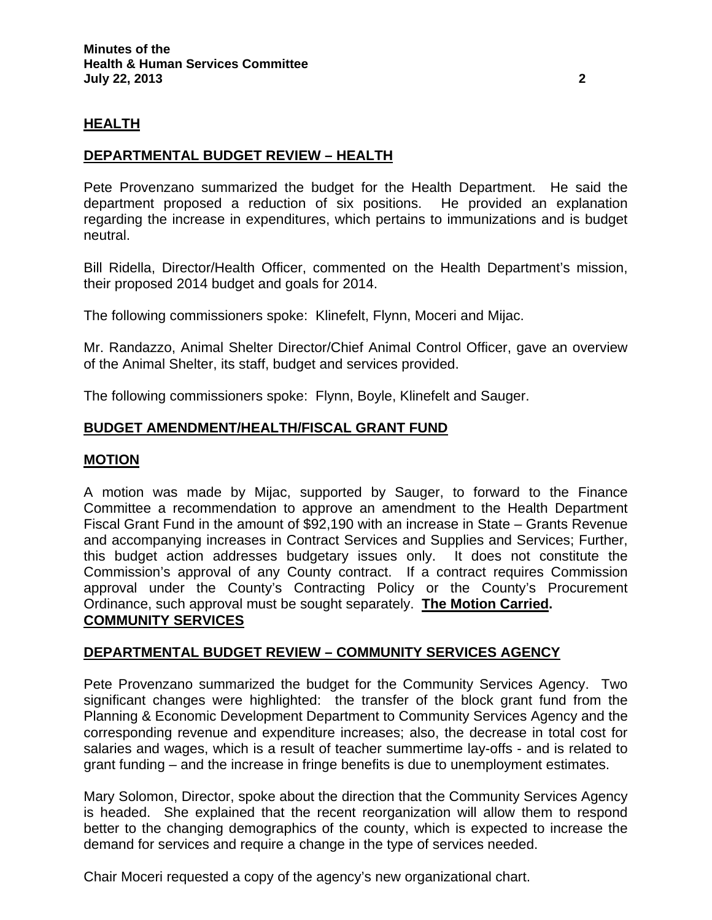### **HEALTH**

### **DEPARTMENTAL BUDGET REVIEW – HEALTH**

Pete Provenzano summarized the budget for the Health Department. He said the department proposed a reduction of six positions. He provided an explanation regarding the increase in expenditures, which pertains to immunizations and is budget neutral.

Bill Ridella, Director/Health Officer, commented on the Health Department's mission, their proposed 2014 budget and goals for 2014.

The following commissioners spoke: Klinefelt, Flynn, Moceri and Mijac.

Mr. Randazzo, Animal Shelter Director/Chief Animal Control Officer, gave an overview of the Animal Shelter, its staff, budget and services provided.

The following commissioners spoke: Flynn, Boyle, Klinefelt and Sauger.

#### **BUDGET AMENDMENT/HEALTH/FISCAL GRANT FUND**

#### **MOTION**

A motion was made by Mijac, supported by Sauger, to forward to the Finance Committee a recommendation to approve an amendment to the Health Department Fiscal Grant Fund in the amount of \$92,190 with an increase in State – Grants Revenue and accompanying increases in Contract Services and Supplies and Services; Further, this budget action addresses budgetary issues only. It does not constitute the Commission's approval of any County contract. If a contract requires Commission approval under the County's Contracting Policy or the County's Procurement Ordinance, such approval must be sought separately. **The Motion Carried. COMMUNITY SERVICES**

#### **DEPARTMENTAL BUDGET REVIEW – COMMUNITY SERVICES AGENCY**

Pete Provenzano summarized the budget for the Community Services Agency. Two significant changes were highlighted: the transfer of the block grant fund from the Planning & Economic Development Department to Community Services Agency and the corresponding revenue and expenditure increases; also, the decrease in total cost for salaries and wages, which is a result of teacher summertime lay-offs - and is related to grant funding – and the increase in fringe benefits is due to unemployment estimates.

Mary Solomon, Director, spoke about the direction that the Community Services Agency is headed. She explained that the recent reorganization will allow them to respond better to the changing demographics of the county, which is expected to increase the demand for services and require a change in the type of services needed.

Chair Moceri requested a copy of the agency's new organizational chart.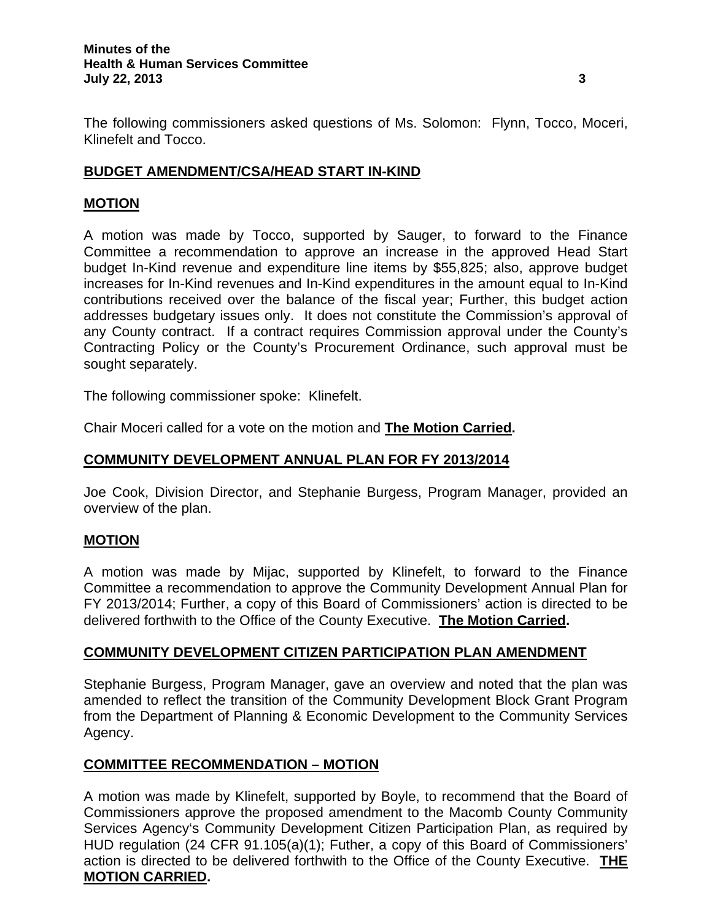#### **Minutes of the Health & Human Services Committee July 22, 2013 3**

# **BUDGET AMENDMENT/CSA/HEAD START IN-KIND**

## **MOTION**

A motion was made by Tocco, supported by Sauger, to forward to the Finance Committee a recommendation to approve an increase in the approved Head Start budget In-Kind revenue and expenditure line items by \$55,825; also, approve budget increases for In-Kind revenues and In-Kind expenditures in the amount equal to In-Kind contributions received over the balance of the fiscal year; Further, this budget action addresses budgetary issues only. It does not constitute the Commission's approval of any County contract. If a contract requires Commission approval under the County's Contracting Policy or the County's Procurement Ordinance, such approval must be sought separately.

The following commissioner spoke: Klinefelt.

Chair Moceri called for a vote on the motion and **The Motion Carried.** 

# **COMMUNITY DEVELOPMENT ANNUAL PLAN FOR FY 2013/2014**

Joe Cook, Division Director, and Stephanie Burgess, Program Manager, provided an overview of the plan.

# **MOTION**

A motion was made by Mijac, supported by Klinefelt, to forward to the Finance Committee a recommendation to approve the Community Development Annual Plan for FY 2013/2014; Further, a copy of this Board of Commissioners' action is directed to be delivered forthwith to the Office of the County Executive. **The Motion Carried.** 

# **COMMUNITY DEVELOPMENT CITIZEN PARTICIPATION PLAN AMENDMENT**

Stephanie Burgess, Program Manager, gave an overview and noted that the plan was amended to reflect the transition of the Community Development Block Grant Program from the Department of Planning & Economic Development to the Community Services Agency.

# **COMMITTEE RECOMMENDATION – MOTION**

A motion was made by Klinefelt, supported by Boyle, to recommend that the Board of Commissioners approve the proposed amendment to the Macomb County Community Services Agency's Community Development Citizen Participation Plan, as required by HUD regulation (24 CFR 91.105(a)(1); Futher, a copy of this Board of Commissioners' action is directed to be delivered forthwith to the Office of the County Executive. **THE MOTION CARRIED.**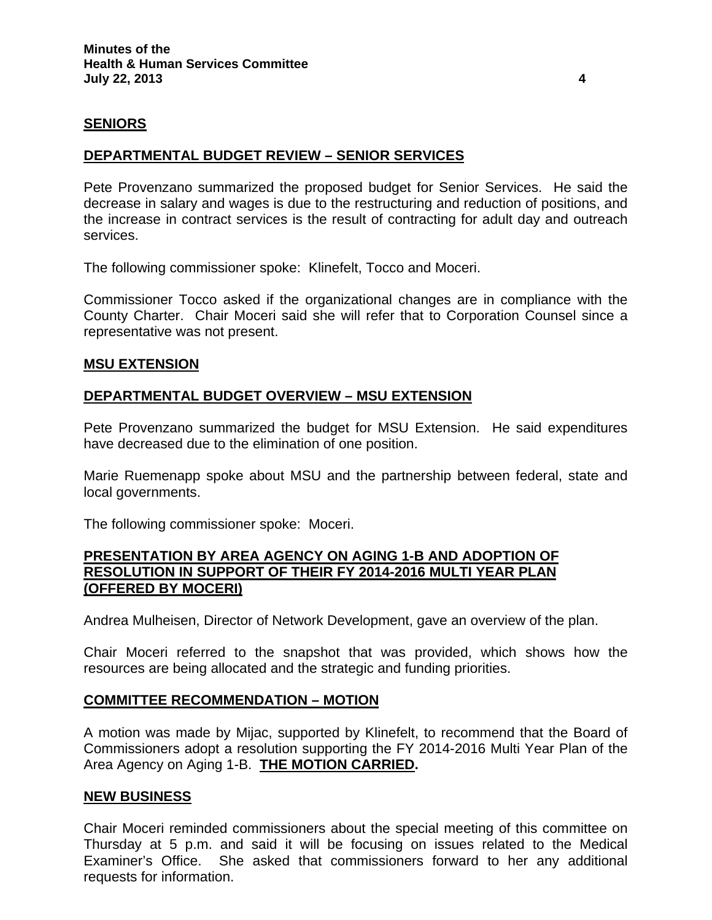#### **SENIORS**

## **DEPARTMENTAL BUDGET REVIEW – SENIOR SERVICES**

Pete Provenzano summarized the proposed budget for Senior Services. He said the decrease in salary and wages is due to the restructuring and reduction of positions, and the increase in contract services is the result of contracting for adult day and outreach services.

The following commissioner spoke: Klinefelt, Tocco and Moceri.

Commissioner Tocco asked if the organizational changes are in compliance with the County Charter. Chair Moceri said she will refer that to Corporation Counsel since a representative was not present.

#### **MSU EXTENSION**

### **DEPARTMENTAL BUDGET OVERVIEW – MSU EXTENSION**

Pete Provenzano summarized the budget for MSU Extension. He said expenditures have decreased due to the elimination of one position.

Marie Ruemenapp spoke about MSU and the partnership between federal, state and local governments.

The following commissioner spoke: Moceri.

#### **PRESENTATION BY AREA AGENCY ON AGING 1-B AND ADOPTION OF RESOLUTION IN SUPPORT OF THEIR FY 2014-2016 MULTI YEAR PLAN (OFFERED BY MOCERI)**

Andrea Mulheisen, Director of Network Development, gave an overview of the plan.

Chair Moceri referred to the snapshot that was provided, which shows how the resources are being allocated and the strategic and funding priorities.

#### **COMMITTEE RECOMMENDATION – MOTION**

A motion was made by Mijac, supported by Klinefelt, to recommend that the Board of Commissioners adopt a resolution supporting the FY 2014-2016 Multi Year Plan of the Area Agency on Aging 1-B. **THE MOTION CARRIED.** 

#### **NEW BUSINESS**

Chair Moceri reminded commissioners about the special meeting of this committee on Thursday at 5 p.m. and said it will be focusing on issues related to the Medical Examiner's Office. She asked that commissioners forward to her any additional requests for information.